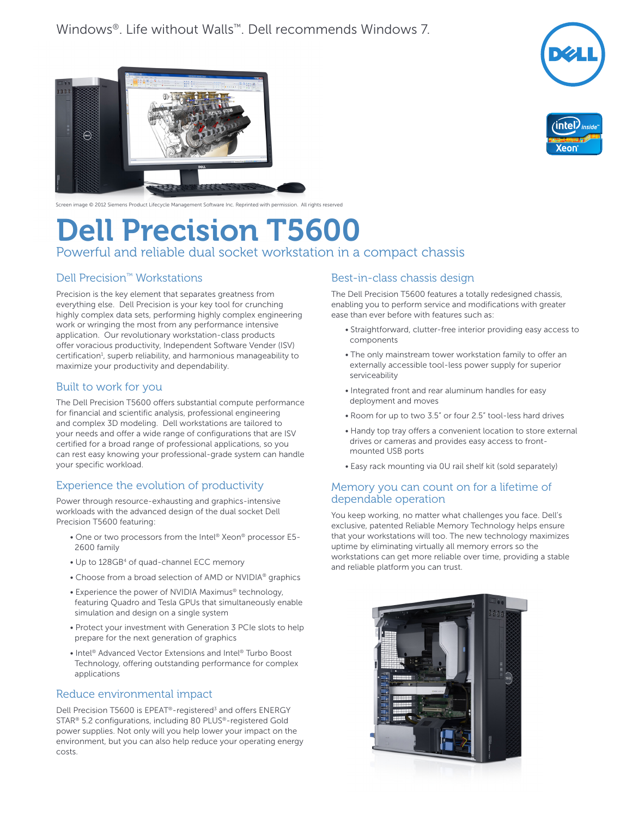





## Screen image © 2012 Siemens Product Lifecycle Management Software Inc. Reprinted with permission. All rights reserved

# Dell Precision T5600

Powerful and reliable dual socket workstation in a compact chassis

## Dell Precision™ Workstations

Precision is the key element that separates greatness from everything else. Dell Precision is your key tool for crunching highly complex data sets, performing highly complex engineering work or wringing the most from any performance intensive application. Our revolutionary workstation-class products offer voracious productivity, Independent Software Vender (ISV) certification<sup>1</sup>, superb reliability, and harmonious manageability to maximize your productivity and dependability.

#### Built to work for you

The Dell Precision T5600 offers substantial compute performance for financial and scientific analysis, professional engineering and complex 3D modeling. Dell workstations are tailored to your needs and offer a wide range of configurations that are ISV certified for a broad range of professional applications, so you can rest easy knowing your professional-grade system can handle your specific workload.

## Experience the evolution of productivity

Power through resource-exhausting and graphics-intensive workloads with the advanced design of the dual socket Dell Precision T5600 featuring:

- One or two processors from the Intel® Xeon® processor E5- 2600 family
- Up to 128GB4 of quad-channel ECC memory
- Choose from a broad selection of AMD or NVIDIA® graphics
- Experience the power of NVIDIA Maximus® technology, featuring Quadro and Tesla GPUs that simultaneously enable simulation and design on a single system
- Protect your investment with Generation 3 PCIe slots to help prepare for the next generation of graphics
- Intel® Advanced Vector Extensions and Intel® Turbo Boost Technology, offering outstanding performance for complex applications

#### Reduce environmental impact

Dell Precision T5600 is EPEAT<sup>®</sup>-registered<sup>3</sup> and offers ENERGY STAR® 5.2 configurations, including 80 PLUS®-registered Gold power supplies. Not only will you help lower your impact on the environment, but you can also help reduce your operating energy costs.

#### Best-in-class chassis design

The Dell Precision T5600 features a totally redesigned chassis, enabling you to perform service and modifications with greater ease than ever before with features such as:

- Straightforward, clutter-free interior providing easy access to components
- The only mainstream tower workstation family to offer an externally accessible tool-less power supply for superior serviceability
- Integrated front and rear aluminum handles for easy deployment and moves
- Room for up to two 3.5" or four 2.5" tool-less hard drives
- Handy top tray offers a convenient location to store external drives or cameras and provides easy access to frontmounted USB ports
- Easy rack mounting via 0U rail shelf kit (sold separately)

#### Memory you can count on for a lifetime of dependable operation

You keep working, no matter what challenges you face. Dell's exclusive, patented Reliable Memory Technology helps ensure that your workstations will too. The new technology maximizes uptime by eliminating virtually all memory errors so the workstations can get more reliable over time, providing a stable and reliable platform you can trust.